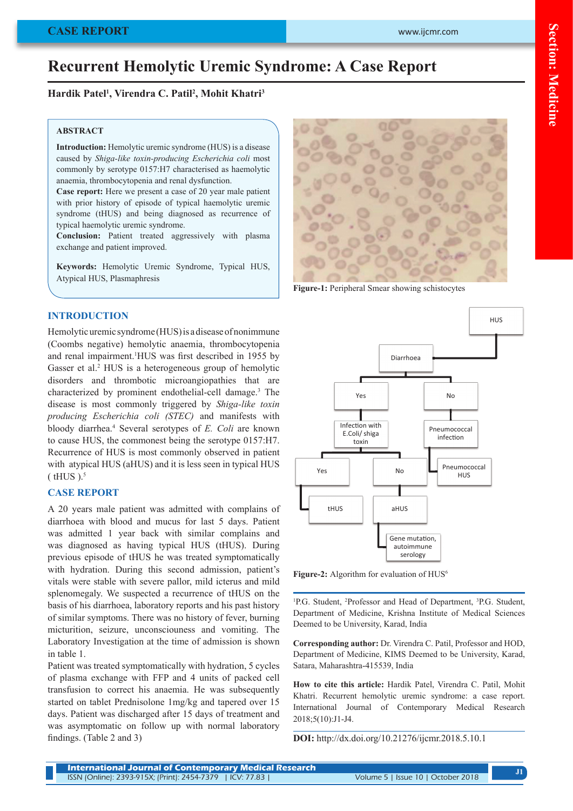# **Recurrent Hemolytic Uremic Syndrome: A Case Report**

# **Hardik Patel1 , Virendra C. Patil2 , Mohit Khatri3**

#### **ABSTRACT**

**Introduction:** Hemolytic uremic syndrome (HUS) is a disease caused by *Shiga-like toxin-producing Escherichia coli* most commonly by serotype 0157:H7 characterised as haemolytic anaemia, thrombocytopenia and renal dysfunction.

**Case report:** Here we present a case of 20 year male patient with prior history of episode of typical haemolytic uremic syndrome (tHUS) and being diagnosed as recurrence of typical haemolytic uremic syndrome.

**Conclusion:** Patient treated aggressively with plasma exchange and patient improved.

**Keywords:** Hemolytic Uremic Syndrome, Typical HUS, Atypical HUS, Plasmaphresis

## **INTRODUCTION**

Hemolytic uremic syndrome (HUS) is a disease of nonimmune (Coombs negative) hemolytic anaemia, thrombocytopenia and renal impairment.1 HUS was first described in 1955 by Gasser et al.<sup>2</sup> HUS is a heterogeneous group of hemolytic disorders and thrombotic microangiopathies that are characterized by prominent endothelial-cell damage.<sup>3</sup> The disease is most commonly triggered by *Shiga-like toxin producing Escherichia coli (STEC)* and manifests with bloody diarrhea.4 Several serotypes of *E. Coli* are known to cause HUS, the commonest being the serotype 0157:H7. Recurrence of HUS is most commonly observed in patient with atypical HUS (aHUS) and it is less seen in typical HUS  $(HUS)_5$ 

## **CASE REPORT**

A 20 years male patient was admitted with complains of diarrhoea with blood and mucus for last 5 days. Patient was admitted 1 year back with similar complains and was diagnosed as having typical HUS (tHUS). During previous episode of tHUS he was treated symptomatically with hydration. During this second admission, patient's vitals were stable with severe pallor, mild icterus and mild splenomegaly. We suspected a recurrence of tHUS on the basis of his diarrhoea, laboratory reports and his past history of similar symptoms. There was no history of fever, burning micturition, seizure, unconsciouness and vomiting. The Laboratory Investigation at the time of admission is shown in table 1.

Patient was treated symptomatically with hydration, 5 cycles of plasma exchange with FFP and 4 units of packed cell transfusion to correct his anaemia. He was subsequently started on tablet Prednisolone 1mg/kg and tapered over 15 days. Patient was discharged after 15 days of treatment and was asymptomatic on follow up with normal laboratory findings. (Table 2 and 3)



**Figure-1:** Peripheral Smear showing schistocytes



Figure-2: Algorithm for evaluation of HUS<sup>6</sup>

<sup>1</sup>P.G. Student, <sup>2</sup>Professor and Head of Department, <sup>3</sup>P.G. Student, Department of Medicine, Krishna Institute of Medical Sciences Deemed to be University, Karad, India

**Corresponding author:** Dr. Virendra C. Patil, Professor and HOD, Department of Medicine, KIMS Deemed to be University, Karad, Satara, Maharashtra-415539, India

**How to cite this article:** Hardik Patel, Virendra C. Patil, Mohit Khatri. Recurrent hemolytic uremic syndrome: a case report. International Journal of Contemporary Medical Research 2018;5(10):J1-J4.

**DOI:** http://dx.doi.org/10.21276/ijcmr.2018.5.10.1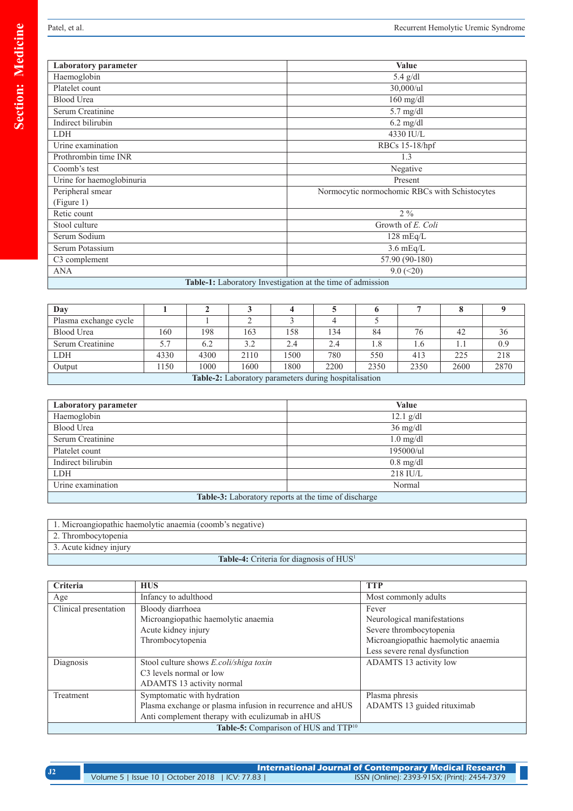| Laboratory parameter                                       | <b>Value</b>                                  |  |  |  |
|------------------------------------------------------------|-----------------------------------------------|--|--|--|
| Haemoglobin                                                | $5.4$ g/dl                                    |  |  |  |
| Platelet count                                             | 30,000/ul                                     |  |  |  |
| <b>Blood Urea</b>                                          | $160$ mg/dl                                   |  |  |  |
| Serum Creatinine                                           | 5.7 mg/dl                                     |  |  |  |
| Indirect bilirubin                                         | $6.2 \text{ mg/dl}$                           |  |  |  |
| <b>LDH</b>                                                 | 4330 IU/L                                     |  |  |  |
| Urine examination                                          | RBCs 15-18/hpf                                |  |  |  |
| Prothrombin time INR                                       | 1.3                                           |  |  |  |
| Coomb's test                                               | Negative                                      |  |  |  |
| Urine for haemoglobinuria                                  | Present                                       |  |  |  |
| Peripheral smear                                           | Normocytic normochomic RBCs with Schistocytes |  |  |  |
| (Figure 1)                                                 |                                               |  |  |  |
| Retic count                                                | $2\%$                                         |  |  |  |
| Stool culture                                              | Growth of E. Coli                             |  |  |  |
| Serum Sodium                                               | $128 \text{ mEq/L}$                           |  |  |  |
| Serum Potassium                                            | $3.6 \text{ mEq/L}$                           |  |  |  |
| C3 complement                                              | 57.90 (90-180)                                |  |  |  |
| ANA                                                        | $9.0 \, (\leq 20)$                            |  |  |  |
| Table-1: Laboratory Investigation at the time of admission |                                               |  |  |  |

| Day                                                   |      |      |      |      |      |      |      |      |      |
|-------------------------------------------------------|------|------|------|------|------|------|------|------|------|
| Plasma exchange cycle                                 |      |      |      |      |      |      |      |      |      |
| Blood Urea                                            | 160  | 198  | 163  | 158  | 134  | 84   | 76   | 42   | 36   |
| Serum Creatinine                                      | 5.7  | 6.2  | 3.2  | 2.4  | 2.4  | 1.8  | 1.6  |      | 0.9  |
| <b>LDH</b>                                            | 4330 | 4300 | 2110 | 1500 | 780  | 550  | 413  | 225  | 218  |
| Output                                                | 150  | 1000 | 1600 | 1800 | 2200 | 2350 | 2350 | 2600 | 2870 |
| Table-2: Laboratory parameters during hospitalisation |      |      |      |      |      |      |      |      |      |

| Laboratory parameter                                 | Value               |  |
|------------------------------------------------------|---------------------|--|
| Haemoglobin                                          | $12.1$ g/dl         |  |
| <b>Blood Urea</b>                                    | $36 \text{ mg/dl}$  |  |
| Serum Creatinine                                     | $1.0$ mg/dl         |  |
| Platelet count                                       | 195000/ul           |  |
| Indirect bilirubin                                   | $0.8 \text{ mg/dl}$ |  |
| <b>LDH</b>                                           | $218$ IU/L          |  |
| Urine examination                                    | Normal              |  |
| Table-3: Laboratory reports at the time of discharge |                     |  |

| 1. Microangiopathic haemolytic anaemia (coomb's negative) |  |
|-----------------------------------------------------------|--|
|-----------------------------------------------------------|--|

- 2. Thrombocytopenia
- 3. Acute kidney injury

# Table-4: Criteria for diagnosis of HUS<sup>1</sup>

| Criteria                                         | <b>HUS</b>                                                | <b>TTP</b>                          |  |  |
|--------------------------------------------------|-----------------------------------------------------------|-------------------------------------|--|--|
| Age                                              | Infancy to adulthood                                      | Most commonly adults                |  |  |
| Clinical presentation                            | Bloody diarrhoea                                          | Fever                               |  |  |
|                                                  | Microangiopathic haemolytic anaemia                       | Neurological manifestations         |  |  |
|                                                  | Acute kidney injury                                       | Severe thrombocytopenia             |  |  |
|                                                  | Thrombocytopenia                                          | Microangiopathic haemolytic anaemia |  |  |
|                                                  |                                                           | Less severe renal dysfunction       |  |  |
| Diagnosis                                        | Stool culture shows E.coli/shiga toxin                    | ADAMTS 13 activity low              |  |  |
|                                                  | C <sub>3</sub> levels normal or low                       |                                     |  |  |
|                                                  | ADAMTS 13 activity normal                                 |                                     |  |  |
| Treatment                                        | Symptomatic with hydration                                | Plasma phresis                      |  |  |
|                                                  | Plasma exchange or plasma infusion in recurrence and aHUS | ADAMTS 13 guided rituximab          |  |  |
|                                                  | Anti complement therapy with eculizumab in aHUS           |                                     |  |  |
| Table-5: Comparison of HUS and TTP <sup>10</sup> |                                                           |                                     |  |  |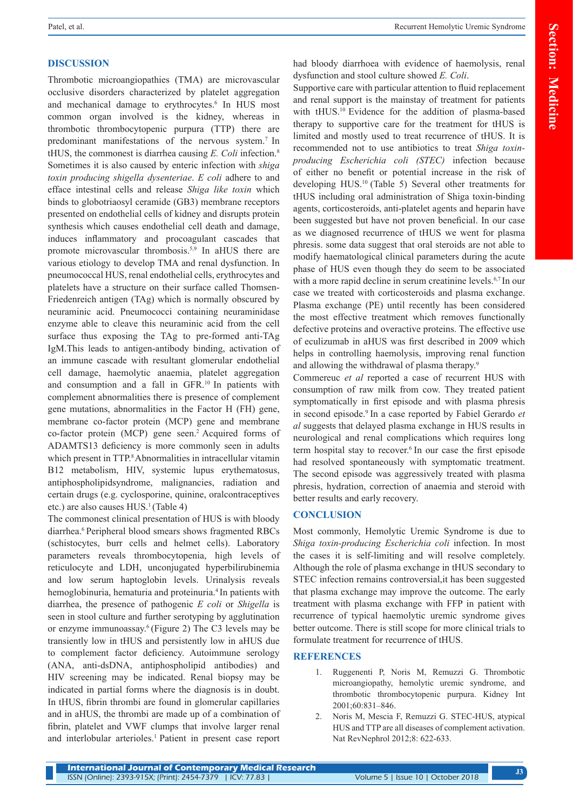# **DISCUSSION**

Thrombotic microangiopathies (TMA) are microvascular occlusive disorders characterized by platelet aggregation and mechanical damage to erythrocytes.<sup>6</sup> In HUS most common organ involved is the kidney, whereas in thrombotic thrombocytopenic purpura (TTP) there are predominant manifestations of the nervous system.<sup>7</sup> In tHUS, the commonest is diarrhea causing *E. Coli* infection.8 Sometimes it is also caused by enteric infection with *shiga toxin producing shigella dysenteriae*. *E coli* adhere to and efface intestinal cells and release *Shiga like toxin* which binds to globotriaosyl ceramide (GB3) membrane receptors presented on endothelial cells of kidney and disrupts protein synthesis which causes endothelial cell death and damage, induces inflammatory and procoagulant cascades that promote microvascular thrombosis.<sup>5,9</sup> In aHUS there are various etiology to develop TMA and renal dysfunction. In pneumococcal HUS, renal endothelial cells, erythrocytes and platelets have a structure on their surface called Thomsen-Friedenreich antigen (TAg) which is normally obscured by neuraminic acid. Pneumococci containing neuraminidase enzyme able to cleave this neuraminic acid from the cell surface thus exposing the TAg to pre-formed anti-TAg IgM.This leads to antigen-antibody binding, activation of an immune cascade with resultant glomerular endothelial cell damage, haemolytic anaemia, platelet aggregation and consumption and a fall in GFR.10 In patients with complement abnormalities there is presence of complement gene mutations, abnormalities in the Factor H (FH) gene, membrane co-factor protein (MCP) gene and membrane co-factor protein (MCP) gene seen.2 Acquired forms of ADAMTS13 deficiency is more commonly seen in adults which present in TTP.<sup>8</sup> Abnormalities in intracellular vitamin B12 metabolism, HIV, systemic lupus erythematosus, antiphospholipidsyndrome, malignancies, radiation and certain drugs (e.g. cyclosporine, quinine, oralcontraceptives etc.) are also causes HUS.<sup>1</sup> (Table 4)

The commonest clinical presentation of HUS is with bloody diarrhea.6 Peripheral blood smears shows fragmented RBCs (schistocytes, burr cells and helmet cells). Laboratory parameters reveals thrombocytopenia, high levels of reticulocyte and LDH, unconjugated hyperbilirubinemia and low serum haptoglobin levels. Urinalysis reveals hemoglobinuria, hematuria and proteinuria.<sup>4</sup> In patients with diarrhea, the presence of pathogenic *E coli* or *Shigella* is seen in stool culture and further serotyping by agglutination or enzyme immunoassay.6 (Figure 2) The C3 levels may be transiently low in tHUS and persistently low in aHUS due to complement factor deficiency. Autoimmune serology (ANA, anti-dsDNA, antiphospholipid antibodies) and HIV screening may be indicated. Renal biopsy may be indicated in partial forms where the diagnosis is in doubt. In tHUS, fibrin thrombi are found in glomerular capillaries and in aHUS, the thrombi are made up of a combination of fibrin, platelet and VWF clumps that involve larger renal and interlobular arterioles.<sup>1</sup> Patient in present case report

Supportive care with particular attention to fluid replacement and renal support is the mainstay of treatment for patients with tHUS.<sup>10</sup> Evidence for the addition of plasma-based therapy to supportive care for the treatment for tHUS is limited and mostly used to treat recurrence of tHUS. It is recommended not to use antibiotics to treat *Shiga toxinproducing Escherichia coli (STEC)* infection because of either no benefit or potential increase in the risk of developing HUS.10 (Table 5) Several other treatments for tHUS including oral administration of Shiga toxin-binding agents, corticosteroids, anti-platelet agents and heparin have been suggested but have not proven beneficial. In our case as we diagnosed recurrence of tHUS we went for plasma phresis. some data suggest that oral steroids are not able to modify haematological clinical parameters during the acute phase of HUS even though they do seem to be associated with a more rapid decline in serum creatinine levels.<sup>6,7</sup> In our case we treated with corticosteroids and plasma exchange. Plasma exchange (PE) until recently has been considered the most effective treatment which removes functionally defective proteins and overactive proteins. The effective use of eculizumab in aHUS was first described in 2009 which helps in controlling haemolysis, improving renal function and allowing the withdrawal of plasma therapy.<sup>9</sup>

Commereuc *et al* reported a case of recurrent HUS with consumption of raw milk from cow. They treated patient symptomatically in first episode and with plasma phresis in second episode.<sup>9</sup> In a case reported by Fabiel Gerardo *et al* suggests that delayed plasma exchange in HUS results in neurological and renal complications which requires long term hospital stay to recover.<sup>6</sup> In our case the first episode had resolved spontaneously with symptomatic treatment. The second episode was aggressively treated with plasma phresis, hydration, correction of anaemia and steroid with better results and early recovery.

#### **CONCLUSION**

Most commonly, Hemolytic Uremic Syndrome is due to *Shiga toxin-producing Escherichia coli* infection. In most the cases it is self-limiting and will resolve completely. Although the role of plasma exchange in tHUS secondary to STEC infection remains controversial,it has been suggested that plasma exchange may improve the outcome. The early treatment with plasma exchange with FFP in patient with recurrence of typical haemolytic uremic syndrome gives better outcome. There is still scope for more clinical trials to formulate treatment for recurrence of tHUS.

#### **REFERENCES**

- 1. Ruggenenti P, Noris M, Remuzzi G. Thrombotic microangiopathy, hemolytic uremic syndrome, and thrombotic thrombocytopenic purpura. Kidney Int 2001;60:831–846.
- 2. Noris M, Mescia F, Remuzzi G. STEC-HUS, atypical HUS and TTP are all diseases of complement activation. Nat RevNephrol 2012;8: 622-633.